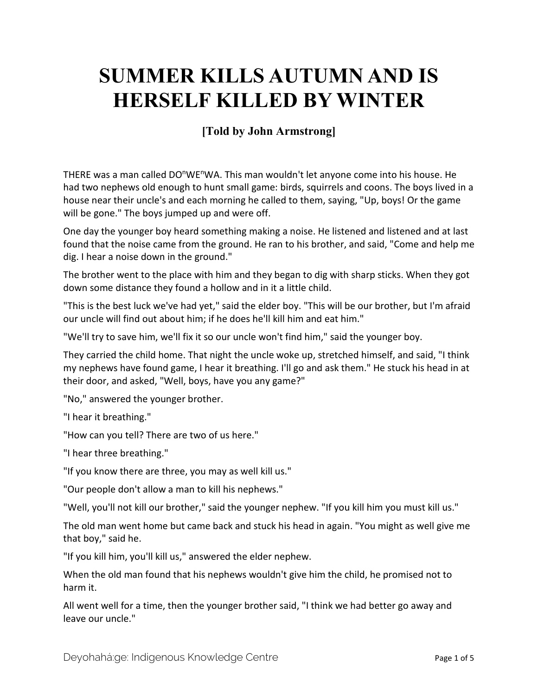## **SUMMER KILLS AUTUMN AND IS HERSELF KILLED BY WINTER**

## **[Told by John Armstrong]**

THERE was a man called DO"WE"WA. This man wouldn't let anyone come into his house. He had two nephews old enough to hunt small game: birds, squirrels and coons. The boys lived in a house near their uncle's and each morning he called to them, saying, "Up, boys! Or the game will be gone." The boys jumped up and were off.

One day the younger boy heard something making a noise. He listened and listened and at last found that the noise came from the ground. He ran to his brother, and said, "Come and help me dig. I hear a noise down in the ground."

The brother went to the place with him and they began to dig with sharp sticks. When they got down some distance they found a hollow and in it a little child.

"This is the best luck we've had yet," said the elder boy. "This will be our brother, but I'm afraid our uncle will find out about him; if he does he'll kill him and eat him."

"We'll try to save him, we'll fix it so our uncle won't find him," said the younger boy.

They carried the child home. That night the uncle woke up, stretched himself, and said, "I think my nephews have found game, I hear it breathing. I'll go and ask them." He stuck his head in at their door, and asked, "Well, boys, have you any game?"

"No," answered the younger brother.

"I hear it breathing."

"How can you tell? There are two of us here."

"I hear three breathing."

"If you know there are three, you may as well kill us."

"Our people don't allow a man to kill his nephews."

"Well, you'll not kill our brother," said the younger nephew. "If you kill him you must kill us."

The old man went home but came back and stuck his head in again. "You might as well give me that boy," said he.

"If you kill him, you'll kill us," answered the elder nephew.

When the old man found that his nephews wouldn't give him the child, he promised not to harm it.

All went well for a time, then the younger brother said, "I think we had better go away and leave our uncle."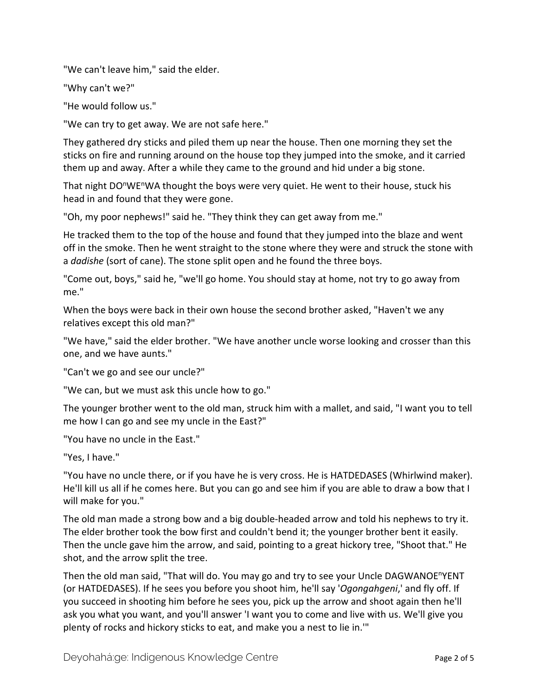"We can't leave him," said the elder.

"Why can't we?"

"He would follow us."

"We can try to get away. We are not safe here."

They gathered dry sticks and piled them up near the house. Then one morning they set the sticks on fire and running around on the house top they jumped into the smoke, and it carried them up and away. After a while they came to the ground and hid under a big stone.

That night DO<sup>n</sup>WE<sup>n</sup>WA thought the boys were very quiet. He went to their house, stuck his head in and found that they were gone.

"Oh, my poor nephews!" said he. "They think they can get away from me."

He tracked them to the top of the house and found that they jumped into the blaze and went off in the smoke. Then he went straight to the stone where they were and struck the stone with a *dadishe* (sort of cane). The stone split open and he found the three boys.

"Come out, boys," said he, "we'll go home. You should stay at home, not try to go away from me."

When the boys were back in their own house the second brother asked, "Haven't we any relatives except this old man?"

"We have," said the elder brother. "We have another uncle worse looking and crosser than this one, and we have aunts."

"Can't we go and see our uncle?"

"We can, but we must ask this uncle how to go."

The younger brother went to the old man, struck him with a mallet, and said, "I want you to tell me how I can go and see my uncle in the East?"

"You have no uncle in the East."

"Yes, I have."

"You have no uncle there, or if you have he is very cross. He is HATDEDASES (Whirlwind maker). He'll kill us all if he comes here. But you can go and see him if you are able to draw a bow that I will make for you."

The old man made a strong bow and a big double-headed arrow and told his nephews to try it. The elder brother took the bow first and couldn't bend it; the younger brother bent it easily. Then the uncle gave him the arrow, and said, pointing to a great hickory tree, "Shoot that." He shot, and the arrow split the tree.

Then the old man said, "That will do. You may go and try to see your Uncle DAGWANOE"YENT (or HATDEDASES). If he sees you before you shoot him, he'll say '*Ogongahgeni*,' and fly off. If you succeed in shooting him before he sees you, pick up the arrow and shoot again then he'll ask you what you want, and you'll answer 'I want you to come and live with us. We'll give you plenty of rocks and hickory sticks to eat, and make you a nest to lie in.'"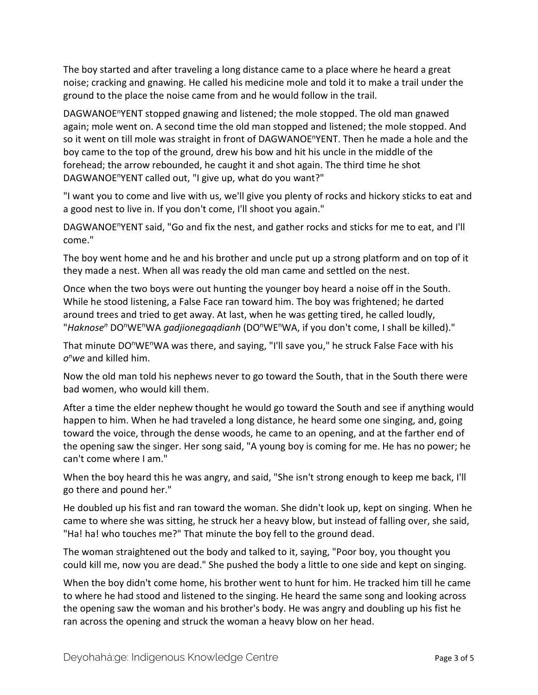The boy started and after traveling a long distance came to a place where he heard a great noise; cracking and gnawing. He called his medicine mole and told it to make a trail under the ground to the place the noise came from and he would follow in the trail.

DAGWANOE<sup>n</sup>YENT stopped gnawing and listened; the mole stopped. The old man gnawed again; mole went on. A second time the old man stopped and listened; the mole stopped. And so it went on till mole was straight in front of DAGWANOE<sup>n</sup>YENT. Then he made a hole and the boy came to the top of the ground, drew his bow and hit his uncle in the middle of the forehead; the arrow rebounded, he caught it and shot again. The third time he shot DAGWANOE<sup>n</sup>YENT called out, "I give up, what do you want?"

"I want you to come and live with us, we'll give you plenty of rocks and hickory sticks to eat and a good nest to live in. If you don't come, I'll shoot you again."

DAGWANOE<sup>n</sup>YENT said, "Go and fix the nest, and gather rocks and sticks for me to eat, and I'll come."

The boy went home and he and his brother and uncle put up a strong platform and on top of it they made a nest. When all was ready the old man came and settled on the nest.

Once when the two boys were out hunting the younger boy heard a noise off in the South. While he stood listening, a False Face ran toward him. The boy was frightened; he darted around trees and tried to get away. At last, when he was getting tired, he called loudly, "Haknose<sup>n</sup> DO<sup>n</sup>WE<sup>n</sup>WA gadjionegaqdianh (DO<sup>n</sup>WE<sup>n</sup>WA, if you don't come, I shall be killed)."

That minute DO<sup>n</sup>WE<sup>n</sup>WA was there, and saying, "I'll save you," he struck False Face with his *onwe* and killed him.

Now the old man told his nephews never to go toward the South, that in the South there were bad women, who would kill them.

After a time the elder nephew thought he would go toward the South and see if anything would happen to him. When he had traveled a long distance, he heard some one singing, and, going toward the voice, through the dense woods, he came to an opening, and at the farther end of the opening saw the singer. Her song said, "A young boy is coming for me. He has no power; he can't come where I am."

When the boy heard this he was angry, and said, "She isn't strong enough to keep me back, I'll go there and pound her."

He doubled up his fist and ran toward the woman. She didn't look up, kept on singing. When he came to where she was sitting, he struck her a heavy blow, but instead of falling over, she said, "Ha! ha! who touches me?" That minute the boy fell to the ground dead.

The woman straightened out the body and talked to it, saying, "Poor boy, you thought you could kill me, now you are dead." She pushed the body a little to one side and kept on singing.

When the boy didn't come home, his brother went to hunt for him. He tracked him till he came to where he had stood and listened to the singing. He heard the same song and looking across the opening saw the woman and his brother's body. He was angry and doubling up his fist he ran across the opening and struck the woman a heavy blow on her head.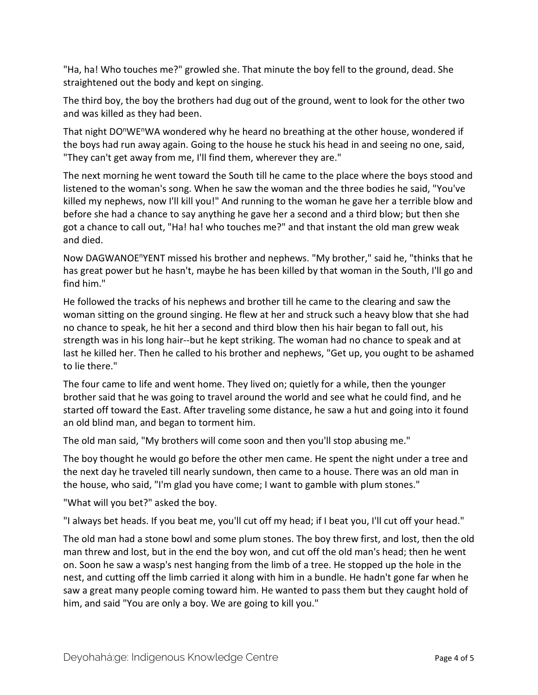"Ha, ha! Who touches me?" growled she. That minute the boy fell to the ground, dead. She straightened out the body and kept on singing.

The third boy, the boy the brothers had dug out of the ground, went to look for the other two and was killed as they had been.

That night DO<sup>n</sup>WE<sup>n</sup>WA wondered why he heard no breathing at the other house, wondered if the boys had run away again. Going to the house he stuck his head in and seeing no one, said, "They can't get away from me, I'll find them, wherever they are."

The next morning he went toward the South till he came to the place where the boys stood and listened to the woman's song. When he saw the woman and the three bodies he said, "You've killed my nephews, now I'll kill you!" And running to the woman he gave her a terrible blow and before she had a chance to say anything he gave her a second and a third blow; but then she got a chance to call out, "Ha! ha! who touches me?" and that instant the old man grew weak and died.

Now DAGWANOE<sup>n</sup>YENT missed his brother and nephews. "My brother," said he, "thinks that he has great power but he hasn't, maybe he has been killed by that woman in the South, I'll go and find him."

He followed the tracks of his nephews and brother till he came to the clearing and saw the woman sitting on the ground singing. He flew at her and struck such a heavy blow that she had no chance to speak, he hit her a second and third blow then his hair began to fall out, his strength was in his long hair--but he kept striking. The woman had no chance to speak and at last he killed her. Then he called to his brother and nephews, "Get up, you ought to be ashamed to lie there."

The four came to life and went home. They lived on; quietly for a while, then the younger brother said that he was going to travel around the world and see what he could find, and he started off toward the East. After traveling some distance, he saw a hut and going into it found an old blind man, and began to torment him.

The old man said, "My brothers will come soon and then you'll stop abusing me."

The boy thought he would go before the other men came. He spent the night under a tree and the next day he traveled till nearly sundown, then came to a house. There was an old man in the house, who said, "I'm glad you have come; I want to gamble with plum stones."

"What will you bet?" asked the boy.

"I always bet heads. If you beat me, you'll cut off my head; if I beat you, I'll cut off your head."

The old man had a stone bowl and some plum stones. The boy threw first, and lost, then the old man threw and lost, but in the end the boy won, and cut off the old man's head; then he went on. Soon he saw a wasp's nest hanging from the limb of a tree. He stopped up the hole in the nest, and cutting off the limb carried it along with him in a bundle. He hadn't gone far when he saw a great many people coming toward him. He wanted to pass them but they caught hold of him, and said "You are only a boy. We are going to kill you."